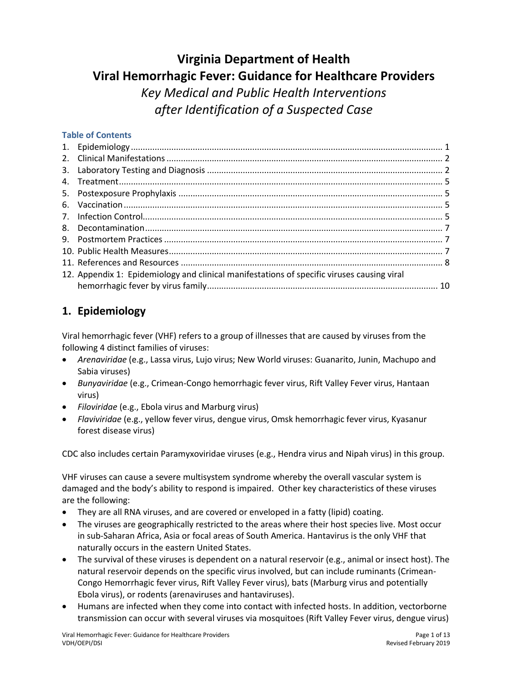# **Virginia Department of Health Viral Hemorrhagic Fever: Guidance for Healthcare Providers** *Key Medical and Public Health Interventions after Identification of a Suspected Case*

#### **Table of Contents**

| 12. Appendix 1: Epidemiology and clinical manifestations of specific viruses causing viral |  |
|--------------------------------------------------------------------------------------------|--|
|                                                                                            |  |

# <span id="page-0-0"></span>**1. Epidemiology**

Viral hemorrhagic fever (VHF) refers to a group of illnesses that are caused by viruses from the following 4 distinct families of viruses:

- *Arenaviridae* (e.g., Lassa virus, Lujo virus; New World viruses: Guanarito, Junin, Machupo and Sabia viruses)
- *Bunyaviridae* (e.g., Crimean-Congo hemorrhagic fever virus, Rift Valley Fever virus, Hantaan virus)
- *Filoviridae* (e.g., Ebola virus and Marburg virus)
- *Flaviviridae* (e.g., yellow fever virus, dengue virus, Omsk hemorrhagic fever virus, Kyasanur forest disease virus)

CDC also includes certain Paramyxoviridae viruses (e.g., Hendra virus and Nipah virus) in this group.

VHF viruses can cause a severe multisystem syndrome whereby the overall vascular system is damaged and the body's ability to respond is impaired. Other key characteristics of these viruses are the following:

- They are all RNA viruses, and are covered or enveloped in a fatty (lipid) coating.
- The viruses are geographically restricted to the areas where their host species live. Most occur in sub-Saharan Africa, Asia or focal areas of South America. Hantavirus is the only VHF that naturally occurs in the eastern United States.
- The survival of these viruses is dependent on a natural reservoir (e.g., animal or insect host). The natural reservoir depends on the specific virus involved, but can include ruminants (Crimean-Congo Hemorrhagic fever virus, Rift Valley Fever virus), bats (Marburg virus and potentially Ebola virus), or rodents (arenaviruses and hantaviruses).
- Humans are infected when they come into contact with infected hosts. In addition, vectorborne transmission can occur with several viruses via mosquitoes (Rift Valley Fever virus, dengue virus)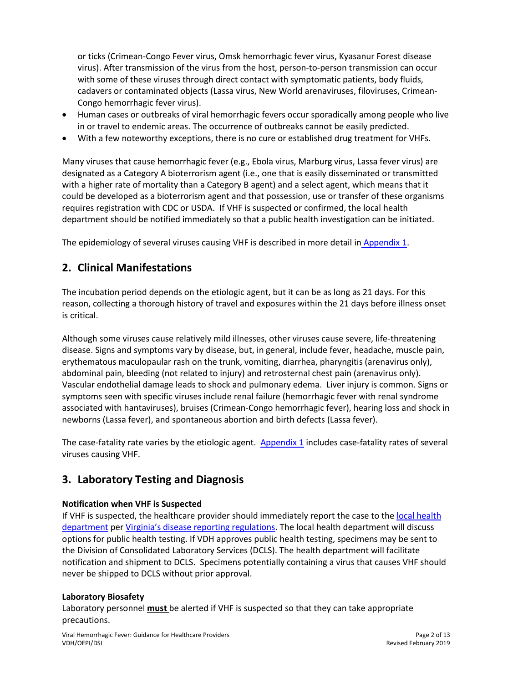or ticks (Crimean-Congo Fever virus, Omsk hemorrhagic fever virus, Kyasanur Forest disease virus). After transmission of the virus from the host, person-to-person transmission can occur with some of these viruses through direct contact with symptomatic patients, body fluids, cadavers or contaminated objects (Lassa virus, New World arenaviruses, filoviruses, Crimean-Congo hemorrhagic fever virus).

- Human cases or outbreaks of viral hemorrhagic fevers occur sporadically among people who live in or travel to endemic areas. The occurrence of outbreaks cannot be easily predicted.
- With a few noteworthy exceptions, there is no cure or established drug treatment for VHFs.

Many viruses that cause hemorrhagic fever (e.g., Ebola virus, Marburg virus, Lassa fever virus) are designated as a Category A bioterrorism agent (i.e., one that is easily disseminated or transmitted with a higher rate of mortality than a Category B agent) and a select agent, which means that it could be developed as a bioterrorism agent and that possession, use or transfer of these organisms requires registration with CDC or USDA. If VHF is suspected or confirmed, the local health department should be notified immediately so that a public health investigation can be initiated.

The epidemiology of several viruses causing VHF is described in more detail in [Appendix 1.](#page-9-0)

### <span id="page-1-0"></span>**2. Clinical Manifestations**

The incubation period depends on the etiologic agent, but it can be as long as 21 days. For this reason, collecting a thorough history of travel and exposures within the 21 days before illness onset is critical.

Although some viruses cause relatively mild illnesses, other viruses cause severe, life-threatening disease. Signs and symptoms vary by disease, but, in general, include fever, headache, muscle pain, erythematous maculopaular rash on the trunk, vomiting, diarrhea, pharyngitis (arenavirus only), abdominal pain, bleeding (not related to injury) and retrosternal chest pain (arenavirus only). Vascular endothelial damage leads to shock and pulmonary edema. Liver injury is common. Signs or symptoms seen with specific viruses include renal failure (hemorrhagic fever with renal syndrome associated with hantaviruses), bruises (Crimean-Congo hemorrhagic fever), hearing loss and shock in newborns (Lassa fever), and spontaneous abortion and birth defects (Lassa fever).

The case-fatality rate varies by the etiologic agent. [Appendix 1](#page-9-0) includes case-fatality rates of several viruses causing VHF.

# <span id="page-1-1"></span>**3. Laboratory Testing and Diagnosis**

#### **Notification when VHF is Suspected**

If VHF is suspected, the healthcare provider should immediately report the case to the local health [department](http://www.vdh.virginia.gov/local-health-districts/) per [Virginia's disease reporting regulations](http://www.vdh.virginia.gov/surveillance-and-investigation/commonwealth-of-virginiastate-board-of-health/). The local health department will discuss options for public health testing. If VDH approves public health testing, specimens may be sent to the Division of Consolidated Laboratory Services (DCLS). The health department will facilitate notification and shipment to DCLS. Specimens potentially containing a virus that causes VHF should never be shipped to DCLS without prior approval.

#### **Laboratory Biosafety**

Laboratory personnel **must** be alerted if VHF is suspected so that they can take appropriate precautions.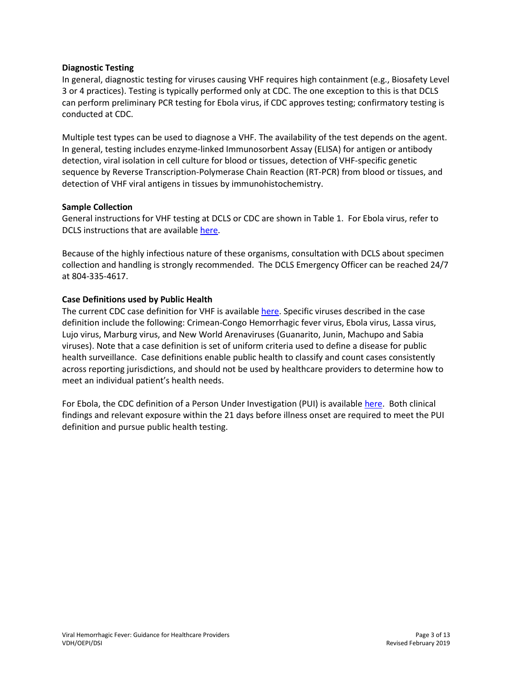#### **Diagnostic Testing**

In general, diagnostic testing for viruses causing VHF requires high containment (e.g., Biosafety Level 3 or 4 practices). Testing is typically performed only at CDC. The one exception to this is that DCLS can perform preliminary PCR testing for Ebola virus, if CDC approves testing; confirmatory testing is conducted at CDC.

Multiple test types can be used to diagnose a VHF. The availability of the test depends on the agent. In general, testing includes enzyme-linked Immunosorbent Assay (ELISA) for antigen or antibody detection, viral isolation in cell culture for blood or tissues, detection of VHF-specific genetic sequence by Reverse Transcription-Polymerase Chain Reaction (RT-PCR) from blood or tissues, and detection of VHF viral antigens in tissues by immunohistochemistry.

#### **Sample Collection**

General instructions for VHF testing at DCLS or CDC are shown in Table 1. For Ebola virus, refer to DCLS instructions that are available [here.](https://dgs.virginia.gov/division-of-consolidated-laboratory-services/updates/hot-topics/)

Because of the highly infectious nature of these organisms, consultation with DCLS about specimen collection and handling is strongly recommended. The DCLS Emergency Officer can be reached 24/7 at 804-335-4617.

#### **Case Definitions used by Public Health**

The current CDC case definition for VHF is available [here.](https://wwwn.cdc.gov/nndss/conditions/viral-hemorrhagic-fever/) Specific viruses described in the case definition include the following: Crimean-Congo Hemorrhagic fever virus, Ebola virus, Lassa virus, Lujo virus, Marburg virus, and New World Arenaviruses (Guanarito, Junin, Machupo and Sabia viruses). Note that a case definition is set of uniform criteria used to define a disease for public health surveillance. Case definitions enable public health to classify and count cases consistently across reporting jurisdictions, and should not be used by healthcare providers to determine how to meet an individual patient's health needs.

For Ebola, the CDC definition of a Person Under Investigation (PUI) is available [here.](https://www.cdc.gov/vhf/ebola/clinicians/evaluating-patients/case-definition.html) Both clinical findings and relevant exposure within the 21 days before illness onset are required to meet the PUI definition and pursue public health testing.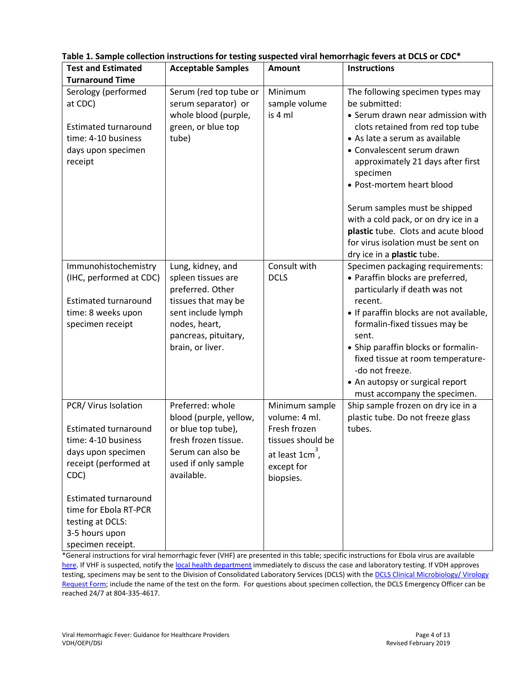| <b>Test and Estimated</b><br><b>Turnaround Time</b>                                                                                                                                                                                                  | <b>Acceptable Samples</b>                                                                                                                                             | Amount                                                                                                                        | <b>Instructions</b>                                                                                                                                                                                                                                                                                                                                                                                                                                           |
|------------------------------------------------------------------------------------------------------------------------------------------------------------------------------------------------------------------------------------------------------|-----------------------------------------------------------------------------------------------------------------------------------------------------------------------|-------------------------------------------------------------------------------------------------------------------------------|---------------------------------------------------------------------------------------------------------------------------------------------------------------------------------------------------------------------------------------------------------------------------------------------------------------------------------------------------------------------------------------------------------------------------------------------------------------|
| Serology (performed<br>at CDC)<br><b>Estimated turnaround</b><br>time: 4-10 business<br>days upon specimen<br>receipt                                                                                                                                | Serum (red top tube or<br>serum separator) or<br>whole blood (purple,<br>green, or blue top<br>tube)                                                                  | Minimum<br>sample volume<br>is 4 ml                                                                                           | The following specimen types may<br>be submitted:<br>• Serum drawn near admission with<br>clots retained from red top tube<br>• As late a serum as available<br>• Convalescent serum drawn<br>approximately 21 days after first<br>specimen<br>• Post-mortem heart blood<br>Serum samples must be shipped<br>with a cold pack, or on dry ice in a<br>plastic tube. Clots and acute blood<br>for virus isolation must be sent on<br>dry ice in a plastic tube. |
| Immunohistochemistry<br>(IHC, performed at CDC)<br><b>Estimated turnaround</b><br>time: 8 weeks upon<br>specimen receipt                                                                                                                             | Lung, kidney, and<br>spleen tissues are<br>preferred. Other<br>tissues that may be<br>sent include lymph<br>nodes, heart,<br>pancreas, pituitary,<br>brain, or liver. | Consult with<br><b>DCLS</b>                                                                                                   | Specimen packaging requirements:<br>• Paraffin blocks are preferred,<br>particularly if death was not<br>recent.<br>• If paraffin blocks are not available,<br>formalin-fixed tissues may be<br>sent.<br>• Ship paraffin blocks or formalin-<br>fixed tissue at room temperature-<br>-do not freeze.<br>• An autopsy or surgical report<br>must accompany the specimen.                                                                                       |
| PCR/ Virus Isolation<br><b>Estimated turnaround</b><br>time: 4-10 business<br>days upon specimen<br>receipt (performed at<br>CDC)<br><b>Estimated turnaround</b><br>time for Ebola RT-PCR<br>testing at DCLS:<br>3-5 hours upon<br>specimen receipt. | Preferred: whole<br>blood (purple, yellow,<br>or blue top tube),<br>fresh frozen tissue.<br>Serum can also be<br>used if only sample<br>available.                    | Minimum sample<br>volume: 4 ml.<br>Fresh frozen<br>tissues should be<br>at least $1 \text{cm}^3$ ,<br>except for<br>biopsies. | Ship sample frozen on dry ice in a<br>plastic tube. Do not freeze glass<br>tubes.                                                                                                                                                                                                                                                                                                                                                                             |

**Table 1. Sample collection instructions for testing suspected viral hemorrhagic fevers at DCLS or CDC\***

\*General instructions for viral hemorrhagic fever (VHF) are presented in this table; specific instructions for Ebola virus are available [here.](https://dgs.virginia.gov/division-of-consolidated-laboratory-services/updates/hot-topics/) If VHF is suspected, notify th[e local health department](http://www.vdh.virginia.gov/local-health-districts/) immediately to discuss the case and laboratory testing. If VDH approves testing, specimens may be sent to the Division of Consolidated Laboratory Services (DCLS) with the DCLS Clinical Microbiology/ Virology [Request Form;](https://dgs.virginia.gov/globalassets/document-center/dcls-forms/clinical-microbiology_virology-request-form-16857-1.pdf) include the name of the test on the form. For questions about specimen collection, the DCLS Emergency Officer can be reached 24/7 at 804-335-4617.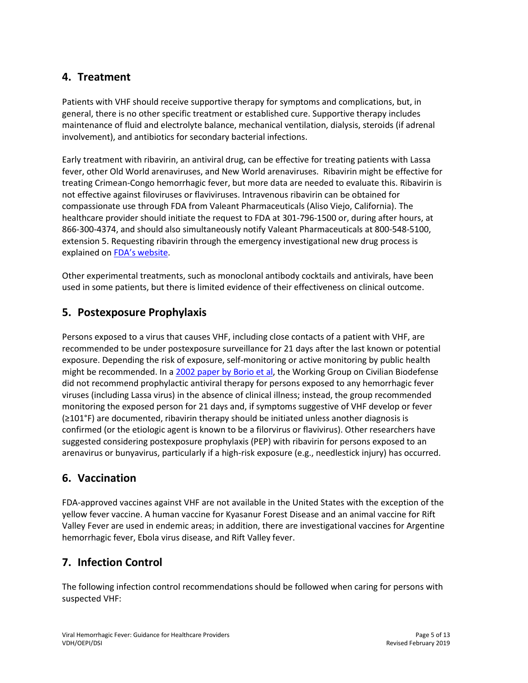# <span id="page-4-0"></span>**4. Treatment**

Patients with VHF should receive supportive therapy for symptoms and complications, but, in general, there is no other specific treatment or established cure. Supportive therapy includes maintenance of fluid and electrolyte balance, mechanical ventilation, dialysis, steroids (if adrenal involvement), and antibiotics for secondary bacterial infections.

Early treatment with ribavirin, an antiviral drug, can be effective for treating patients with Lassa fever, other Old World arenaviruses, and New World arenaviruses. Ribavirin might be effective for treating Crimean-Congo hemorrhagic fever, but more data are needed to evaluate this. Ribavirin is not effective against filoviruses or flaviviruses. Intravenous ribavirin can be obtained for compassionate use through FDA from Valeant Pharmaceuticals (Aliso Viejo, California). The healthcare provider should initiate the request to FDA at 301-796-1500 or, during after hours, at 866-300-4374, and should also simultaneously notify Valeant Pharmaceuticals at 800-548-5100, extension 5. Requesting ribavirin through the emergency investigational new drug process is explained on [FDA's website](https://www.fda.gov/Drugs/DevelopmentApprovalProcess/HowDrugsareDevelopedandApproved/ApprovalApplications/InvestigationalNewDrugINDApplication/ucm090039.htm).

Other experimental treatments, such as monoclonal antibody cocktails and antivirals, have been used in some patients, but there is limited evidence of their effectiveness on clinical outcome.

### <span id="page-4-1"></span>**5. Postexposure Prophylaxis**

Persons exposed to a virus that causes VHF, including close contacts of a patient with VHF, are recommended to be under postexposure surveillance for 21 days after the last known or potential exposure. Depending the risk of exposure, self-monitoring or active monitoring by public health might be recommended. In a [2002 paper by Borio et al,](https://jamanetwork.com/journals/jama/fullarticle/194908) the Working Group on Civilian Biodefense did not recommend prophylactic antiviral therapy for persons exposed to any hemorrhagic fever viruses (including Lassa virus) in the absence of clinical illness; instead, the group recommended monitoring the exposed person for 21 days and, if symptoms suggestive of VHF develop or fever (≥101°F) are documented, ribavirin therapy should be initiated unless another diagnosis is confirmed (or the etiologic agent is known to be a filorvirus or flavivirus). Other researchers have suggested considering postexposure prophylaxis (PEP) with ribavirin for persons exposed to an arenavirus or bunyavirus, particularly if a high-risk exposure (e.g., needlestick injury) has occurred.

### <span id="page-4-2"></span>**6. Vaccination**

FDA-approved vaccines against VHF are not available in the United States with the exception of the yellow fever vaccine. A human vaccine for Kyasanur Forest Disease and an animal vaccine for Rift Valley Fever are used in endemic areas; in addition, there are investigational vaccines for Argentine hemorrhagic fever, Ebola virus disease, and Rift Valley fever.

# <span id="page-4-3"></span>**7. Infection Control**

The following infection control recommendations should be followed when caring for persons with suspected VHF: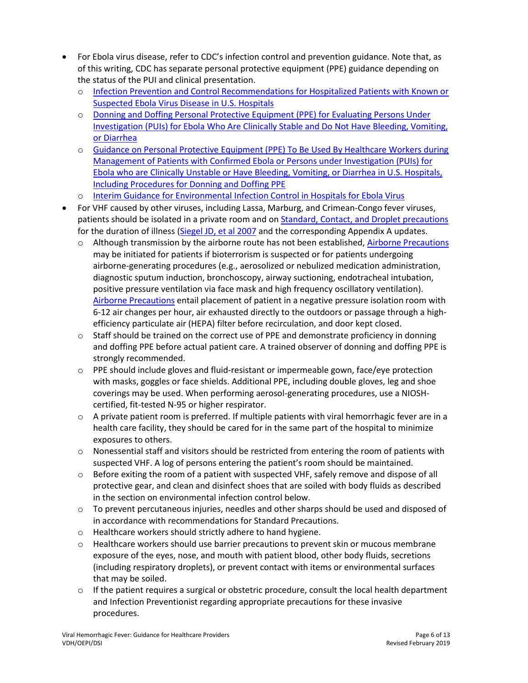- For Ebola virus disease, refer to CDC's infection control and prevention guidance. Note that, as of this writing, CDC has separate personal protective equipment (PPE) guidance depending on the status of the PUI and clinical presentation.
	- o [Infection Prevention and Control Recommendations for Hospitalized Patients with Known or](https://www.cdc.gov/vhf/ebola/clinicians/evd/infection-control.html)  [Suspected Ebola Virus Disease in U.S. Hospitals](https://www.cdc.gov/vhf/ebola/clinicians/evd/infection-control.html)
	- o [Donning and Doffing Personal Protective Equipment \(PPE\) for Evaluating Persons Under](https://www.cdc.gov/vhf/ebola/healthcare-us/ppe/guidance-clinically-stable-puis.html)  [Investigation \(PUIs\) for Ebola Who Are Clinically Stable and Do Not Have](https://www.cdc.gov/vhf/ebola/healthcare-us/ppe/guidance-clinically-stable-puis.html) Bleeding, Vomiting, [or Diarrhea](https://www.cdc.gov/vhf/ebola/healthcare-us/ppe/guidance-clinically-stable-puis.html)
	- o [Guidance on Personal Protective Equipment \(PPE\) To Be Used By Healthcare Workers during](https://www.cdc.gov/vhf/ebola/healthcare-us/ppe/guidance.html)  [Management of Patients with Confirmed Ebola or Persons under Investigation \(PUIs\) for](https://www.cdc.gov/vhf/ebola/healthcare-us/ppe/guidance.html)  [Ebola who are Clinically Unstable or Have Bleeding, Vomiting, or Diarrhea in U.S. Hospitals,](https://www.cdc.gov/vhf/ebola/healthcare-us/ppe/guidance.html)  [Including Procedures for Donning and Doffing PPE](https://www.cdc.gov/vhf/ebola/healthcare-us/ppe/guidance.html)
	- o [Interim Guidance for Environmental Infection Control in Hospitals for Ebola Virus](https://www.cdc.gov/vhf/ebola/clinicians/cleaning/hospitals.html)
- For VHF caused by other viruses, including Lassa, Marburg, and Crimean-Congo fever viruses, patients should be isolated in a private room and o[n Standard, Contact, and Droplet precautions](https://www.cdc.gov/infectioncontrol/basics/transmission-based-precautions.html) for the duration of illness [\(Siegel JD, et al 2007](https://www.cdc.gov/infectioncontrol/guidelines/isolation/index.html) and the corresponding Appendix A updates.
	- $\circ$  Although transmission by the airborne route has not been established, Airborne Precautions may be initiated for patients if bioterrorism is suspected or for patients undergoing airborne-generating procedures (e.g., aerosolized or nebulized medication administration, diagnostic sputum induction, bronchoscopy, airway suctioning, endotracheal intubation, positive pressure ventilation via face mask and high frequency oscillatory ventilation). [Airborne Precautions](https://www.cdc.gov/infectioncontrol/basics/transmission-based-precautions.html) entail placement of patient in a negative pressure isolation room with 6-12 air changes per hour, air exhausted directly to the outdoors or passage through a highefficiency particulate air (HEPA) filter before recirculation, and door kept closed.
	- $\circ$  Staff should be trained on the correct use of PPE and demonstrate proficiency in donning and doffing PPE before actual patient care. A trained observer of donning and doffing PPE is strongly recommended.
	- o PPE should include gloves and fluid-resistant or impermeable gown, face/eye protection with masks, goggles or face shields. Additional PPE, including double gloves, leg and shoe coverings may be used. When performing aerosol-generating procedures, use a NIOSHcertified, fit-tested N-95 or higher respirator.
	- $\circ$  A private patient room is preferred. If multiple patients with viral hemorrhagic fever are in a health care facility, they should be cared for in the same part of the hospital to minimize exposures to others.
	- $\circ$  Nonessential staff and visitors should be restricted from entering the room of patients with suspected VHF. A log of persons entering the patient's room should be maintained.
	- o Before exiting the room of a patient with suspected VHF, safely remove and dispose of all protective gear, and clean and disinfect shoes that are soiled with body fluids as described in the section on environmental infection control below.
	- $\circ$  To prevent percutaneous injuries, needles and other sharps should be used and disposed of in accordance with recommendations fo[r Standard Precautions.](https://www.cdc.gov/infectioncontrol/basics/transmission-based-precautions.html)
	- o Healthcare workers should strictly adhere to hand hygiene.
	- o Healthcare workers should use barrier precautions to prevent skin or mucous membrane exposure of the eyes, nose, and mouth with patient blood, other body fluids, secretions (including respiratory droplets), or prevent contact with items or environmental surfaces that may be soiled.
	- $\circ$  If the patient requires a surgical or obstetric procedure, consult the local health department and Infection Preventionist regarding appropriate precautions for these invasive procedures.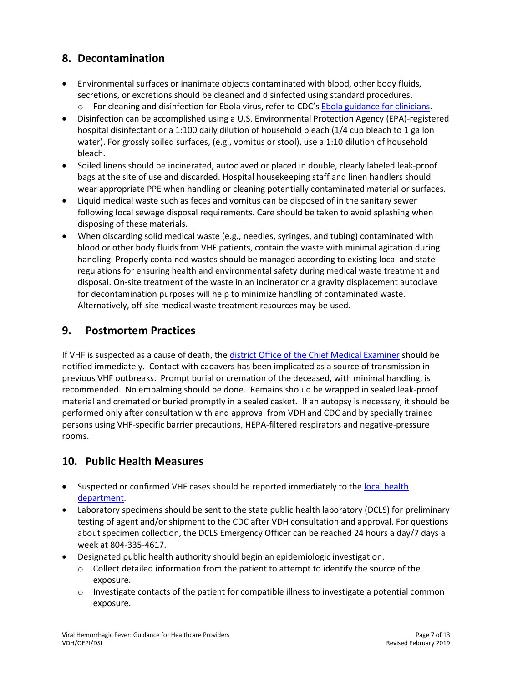# <span id="page-6-0"></span>**8. Decontamination**

- Environmental surfaces or inanimate objects contaminated with blood, other body fluids, secretions, or excretions should be cleaned and disinfected using standard procedures.
	- o For cleaning and disinfection for Ebola virus, refer to CDC's [Ebola guidance for clinicians.](https://www.cdc.gov/vhf/ebola/clinicians/index.html)
- Disinfection can be accomplished using a U.S. Environmental Protection Agency (EPA)-registered hospital disinfectant or a 1:100 daily dilution of household bleach (1/4 cup bleach to 1 gallon water). For grossly soiled surfaces, (e.g., vomitus or stool), use a 1:10 dilution of household bleach.
- Soiled linens should be incinerated, autoclaved or placed in double, clearly labeled leak-proof bags at the site of use and discarded. Hospital housekeeping staff and linen handlers should wear appropriate PPE when handling or cleaning potentially contaminated material or surfaces.
- Liquid medical waste such as feces and vomitus can be disposed of in the sanitary sewer following local sewage disposal requirements. Care should be taken to avoid splashing when disposing of these materials.
- When discarding solid medical waste (e.g., needles, syringes, and tubing) contaminated with blood or other body fluids from VHF patients, contain the waste with minimal agitation during handling. Properly contained wastes should be managed according to existing local and state regulations for ensuring health and environmental safety during medical waste treatment and disposal. On-site treatment of the waste in an incinerator or a gravity displacement autoclave for decontamination purposes will help to minimize handling of contaminated waste. Alternatively, off-site medical waste treatment resources may be used.

# <span id="page-6-1"></span>**9. Postmortem Practices**

If VHF is suspected as a cause of death, the [district Office of the Chief Medical Examiner](http://www.vdh.virginia.gov/medExam/ContactUs.htm) should be notified immediately. Contact with cadavers has been implicated as a source of transmission in previous VHF outbreaks. Prompt burial or cremation of the deceased, with minimal handling, is recommended. No embalming should be done. Remains should be wrapped in sealed leak-proof material and cremated or buried promptly in a sealed casket. If an autopsy is necessary, it should be performed only after consultation with and approval from VDH and CDC and by specially trained persons using VHF-specific barrier precautions, HEPA-filtered respirators and negative-pressure rooms.

# <span id="page-6-2"></span>**10. Public Health Measures**

- Suspected or confirmed VHF cases should be reported immediately to the [local health](http://www.vdh.virginia.gov/local-health-districts/)  [department.](http://www.vdh.virginia.gov/local-health-districts/)
- Laboratory specimens should be sent to the state public health laboratory (DCLS) for preliminary testing of agent and/or shipment to the CDC after VDH consultation and approval. For questions about specimen collection, the DCLS Emergency Officer can be reached 24 hours a day/7 days a week at 804-335-4617.
- Designated public health authority should begin an epidemiologic investigation.
	- $\circ$  Collect detailed information from the patient to attempt to identify the source of the exposure.
	- $\circ$  Investigate contacts of the patient for compatible illness to investigate a potential common exposure.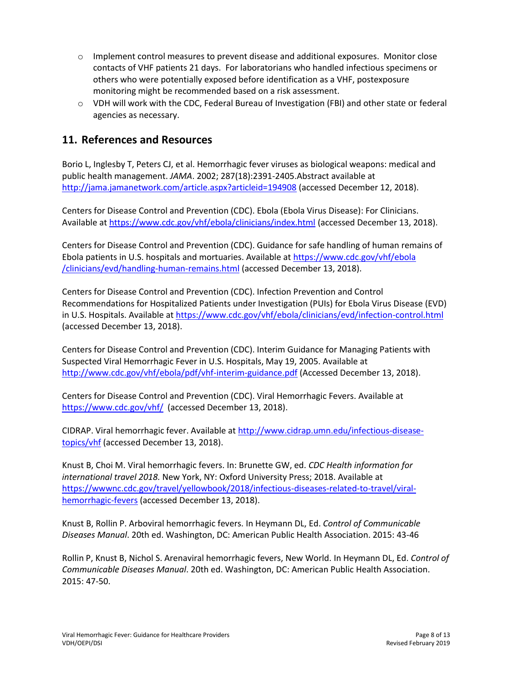- $\circ$  Implement control measures to prevent disease and additional exposures. Monitor close contacts of VHF patients 21 days. For laboratorians who handled infectious specimens or others who were potentially exposed before identification as a VHF, postexposure monitoring might be recommended based on a risk assessment.
- o VDH will work with the CDC, Federal Bureau of Investigation (FBI) and other state or federal agencies as necessary.

# <span id="page-7-0"></span>**11. References and Resources**

Borio L, Inglesby T, Peters CJ, et al. Hemorrhagic fever viruses as biological weapons: medical and public health management. *JAMA*. 2002; 287(18):2391-2405.Abstract available at <http://jama.jamanetwork.com/article.aspx?articleid=194908> (accessed December 12, 2018).

Centers for Disease Control and Prevention (CDC). Ebola (Ebola Virus Disease): For Clinicians. Available a[t https://www.cdc.gov/vhf/ebola/clinicians/index.html](https://www.cdc.gov/vhf/ebola/clinicians/index.html) (accessed December 13, 2018).

Centers for Disease Control and Prevention (CDC). Guidance for safe handling of human remains of Ebola patients in U.S. hospitals and mortuaries. Available at [https://www.cdc.gov/vhf/ebola](https://www.cdc.gov/vhf/ebola/clinicians/evd/handling-human-remains.html) [/clinicians/evd/handling-human-remains.html](https://www.cdc.gov/vhf/ebola/clinicians/evd/handling-human-remains.html) (accessed December 13, 2018).

Centers for Disease Control and Prevention (CDC). Infection Prevention and Control Recommendations for Hospitalized Patients under Investigation (PUIs) for Ebola Virus Disease (EVD) in U.S. Hospitals. Available at https://www.cdc.gov/vhf/ebola/clinicians/evd/infection-control.html (accessed December 13, 2018).

Centers for Disease Control and Prevention (CDC). Interim Guidance for Managing Patients with Suspected Viral Hemorrhagic Fever in U.S. Hospitals, May 19, 2005. Available at <http://www.cdc.gov/vhf/ebola/pdf/vhf-interim-guidance.pdf> (Accessed December 13, 2018).

Centers for Disease Control and Prevention (CDC). Viral Hemorrhagic Fevers. Available at <https://www.cdc.gov/vhf/> (accessed December 13, 2018).

CIDRAP. Viral hemorrhagic fever. Available at [http://www.cidrap.umn.edu/infectious-disease](http://www.cidrap.umn.edu/infectious-disease-topics/vhf)[topics/vhf](http://www.cidrap.umn.edu/infectious-disease-topics/vhf) (accessed December 13, 2018).

Knust B, Choi M. Viral hemorrhagic fevers. In: Brunette GW, ed. *CDC Health information for international travel 2018.* New York, NY: Oxford University Press; 2018. Available at [https://wwwnc.cdc.gov/travel/yellowbook/2018/infectious-diseases-related-to-travel/viral](https://wwwnc.cdc.gov/travel/yellowbook/2018/infectious-diseases-related-to-travel/viral-hemorrhagic-fevers)[hemorrhagic-fevers](https://wwwnc.cdc.gov/travel/yellowbook/2018/infectious-diseases-related-to-travel/viral-hemorrhagic-fevers) (accessed December 13, 2018).

Knust B, Rollin P. Arboviral hemorrhagic fevers. In Heymann DL, Ed. *Control of Communicable Diseases Manual*. 20th ed. Washington, DC: American Public Health Association. 2015: 43-46

Rollin P, Knust B, Nichol S. Arenaviral hemorrhagic fevers, New World. In Heymann DL, Ed. *Control of Communicable Diseases Manual*. 20th ed. Washington, DC: American Public Health Association. 2015: 47-50.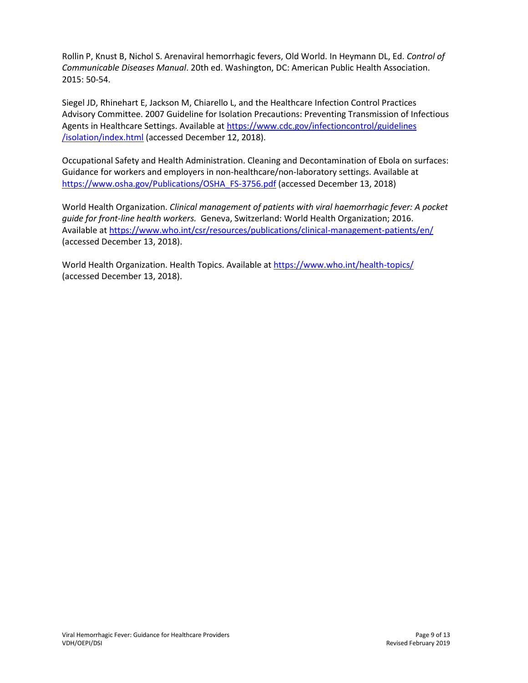Rollin P, Knust B, Nichol S. Arenaviral hemorrhagic fevers, Old World. In Heymann DL, Ed. *Control of Communicable Diseases Manual*. 20th ed. Washington, DC: American Public Health Association. 2015: 50-54.

Siegel JD, Rhinehart E, Jackson M, Chiarello L, and the Healthcare Infection Control Practices Advisory Committee. 2007 Guideline for Isolation Precautions: Preventing Transmission of Infectious Agents in Healthcare Settings. Available at [https://www.cdc.gov/infectioncontrol/guidelines](https://www.cdc.gov/infectioncontrol/guidelines/isolation/index.html) [/isolation/index.html](https://www.cdc.gov/infectioncontrol/guidelines/isolation/index.html) (accessed December 12, 2018).

Occupational Safety and Health Administration. Cleaning and Decontamination of Ebola on surfaces: Guidance for workers and employers in non-healthcare/non-laboratory settings. Available at [https://www.osha.gov/Publications/OSHA\\_FS-3756.pdf](https://www.osha.gov/Publications/OSHA_FS-3756.pdf) (accessed December 13, 2018)

World Health Organization. *Clinical management of patients with viral haemorrhagic fever: A pocket guide for front-line health workers.* Geneva, Switzerland: World Health Organization; 2016. Available a[t https://www.who.int/csr/resources/publications/clinical-management-patients/en/](https://www.who.int/csr/resources/publications/clinical-management-patients/en/) (accessed December 13, 2018).

World Health Organization. Health Topics. Available at<https://www.who.int/health-topics/> (accessed December 13, 2018).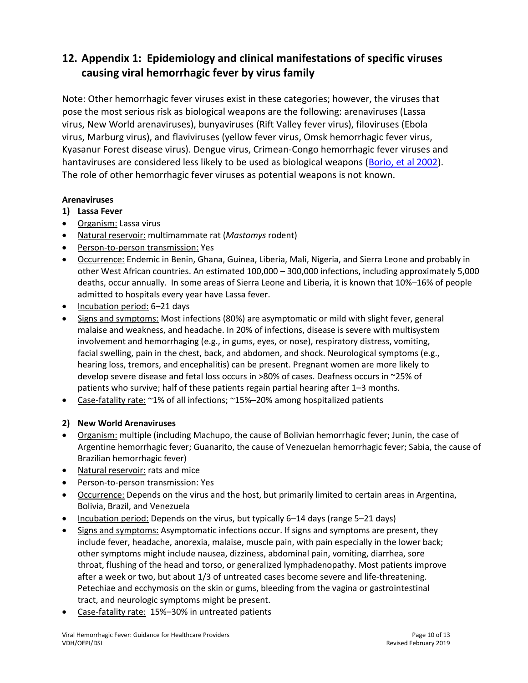# <span id="page-9-0"></span>**12. Appendix 1: Epidemiology and clinical manifestations of specific viruses causing viral hemorrhagic fever by virus family**

Note: Other hemorrhagic fever viruses exist in these categories; however, the viruses that pose the most serious risk as biological weapons are the following: arenaviruses (Lassa virus, New World arenaviruses), bunyaviruses (Rift Valley fever virus), filoviruses (Ebola virus, Marburg virus), and flaviviruses (yellow fever virus, Omsk hemorrhagic fever virus, Kyasanur Forest disease virus). Dengue virus, Crimean-Congo hemorrhagic fever viruses and hantaviruses are considered less likely to be used as biological weapons [\(Borio, et al 2002\)](https://jamanetwork.com/journals/jama/fullarticle/194908). The role of other hemorrhagic fever viruses as potential weapons is not known.

### **Arenaviruses**

### **1) Lassa Fever**

- Organism: Lassa virus
- Natural reservoir: multimammate rat (*Mastomys* rodent)
- Person-to-person transmission: Yes
- **•** Occurrence: Endemic in Benin, Ghana, Guinea, Liberia, Mali, Nigeria, and Sierra Leone and probably in other West African countries. An estimated 100,000 – 300,000 infections, including approximately 5,000 deaths, occur annually. In some areas of Sierra Leone and Liberia, it is known that 10%–16% of people admitted to hospitals every year have Lassa fever.
- Incubation period: 6-21 days
- Signs and symptoms: Most infections (80%) are asymptomatic or mild with slight fever, general malaise and weakness, and headache. In 20% of infections, disease is severe with multisystem involvement and hemorrhaging (e.g., in gums, eyes, or nose), respiratory distress, vomiting, facial swelling, pain in the chest, back, and abdomen, and shock. Neurological symptoms (e.g., hearing loss, tremors, and encephalitis) can be present. Pregnant women are more likely to develop severe disease and fetal loss occurs in >80% of cases. Deafness occurs in ~25% of patients who survive; half of these patients regain partial hearing after 1–3 months.
- Case-fatality rate: ~1% of all infections; ~15%–20% among hospitalized patients

### **2) New World Arenaviruses**

- Organism: multiple (including Machupo, the cause of Bolivian hemorrhagic fever; Junin, the case of Argentine hemorrhagic fever; Guanarito, the cause of Venezuelan hemorrhagic fever; Sabia, the cause of Brazilian hemorrhagic fever)
- Natural reservoir: rats and mice
- Person-to-person transmission: Yes
- Occurrence: Depends on the virus and the host, but primarily limited to certain areas in Argentina, Bolivia, Brazil, and Venezuela
- Incubation period: Depends on the virus, but typically 6–14 days (range 5–21 days)
- Signs and symptoms: Asymptomatic infections occur. If signs and symptoms are present, they include fever, headache, anorexia, malaise, muscle pain, with pain especially in the lower back; other symptoms might include nausea, dizziness, abdominal pain, vomiting, diarrhea, sore throat, flushing of the head and torso, or generalized lymphadenopathy. Most patients improve after a week or two, but about 1/3 of untreated cases become severe and life-threatening. Petechiae and ecchymosis on the skin or gums, bleeding from the vagina or gastrointestinal tract, and neurologic symptoms might be present.
- Case-fatality rate: 15%–30% in untreated patients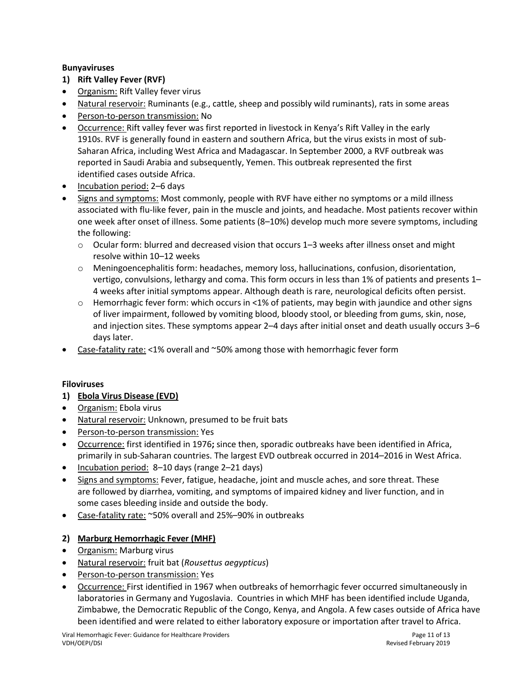### **Bunyaviruses**

- **1) Rift Valley Fever (RVF)**
- Organism: Rift Valley fever virus
- Natural reservoir: Ruminants (e.g., cattle, sheep and possibly wild ruminants), rats in some areas
- Person-to-person transmission: No
- Occurrence: Rift valley fever was first reported in livestock in Kenya's Rift Valley in the early 1910s. RVF is generally found in eastern and southern Africa, but the virus exists in most of sub-Saharan Africa, including West Africa and Madagascar. In September 2000, a RVF outbreak was reported in Saudi Arabia and subsequently, Yemen. This outbreak represented the first identified cases outside Africa.
- Incubation period: 2–6 days
- Signs and symptoms: Most commonly, people with RVF have either no symptoms or a mild illness associated with flu-like fever, pain in the muscle and joints, and headache. Most patients recover within one week after onset of illness. Some patients (8–10%) develop much more severe symptoms, including the following:
	- $\circ$  Ocular form: blurred and decreased vision that occurs 1–3 weeks after illness onset and might resolve within 10–12 weeks
	- $\circ$  Meningoencephalitis form: headaches, memory loss, hallucinations, confusion, disorientation, vertigo, convulsions, lethargy and coma. This form occurs in less than 1% of patients and presents 1– 4 weeks after initial symptoms appear. Although death is rare, neurological deficits often persist.
	- $\circ$  Hemorrhagic fever form: which occurs in <1% of patients, may begin with jaundice and other signs of liver impairment, followed by vomiting blood, bloody stool, or bleeding from gums, skin, nose, and injection sites. These symptoms appear 2–4 days after initial onset and death usually occurs 3–6 days later.
- Case-fatality rate: <1% overall and ~50% among those with hemorrhagic fever form

### **Filoviruses**

- **1) Ebola Virus Disease (EVD)**
- Organism: Ebola virus
- Natural reservoir: Unknown, presumed to be fruit bats
- Person-to-person transmission: Yes
- Occurrence: first identified in 1976**;** since then, sporadic outbreaks have been identified in Africa, primarily in sub-Saharan countries. The largest EVD outbreak occurred in 2014–2016 in West Africa.
- Incubation period: 8–10 days (range 2–21 days)
- Signs and symptoms: Fever, fatigue, headache, joint and muscle aches, and sore threat. These are followed by diarrhea, vomiting, and symptoms of impaired kidney and liver function, and in some cases bleeding inside and outside the body.
- Case-fatality rate: ~50% overall and 25%-90% in outbreaks

### **2) Marburg Hemorrhagic Fever (MHF)**

- Organism: Marburg virus
- Natural reservoir: fruit bat (*Rousettus aegypticus*)
- Person-to-person transmission: Yes
- Occurrence: First identified in 1967 when outbreaks of hemorrhagic fever occurred simultaneously in laboratories in Germany and Yugoslavia. Countries in which MHF has been identified include Uganda, Zimbabwe, the Democratic Republic of the Congo, Kenya, and Angola. A few cases outside of Africa have been identified and were related to either laboratory exposure or importation after travel to Africa.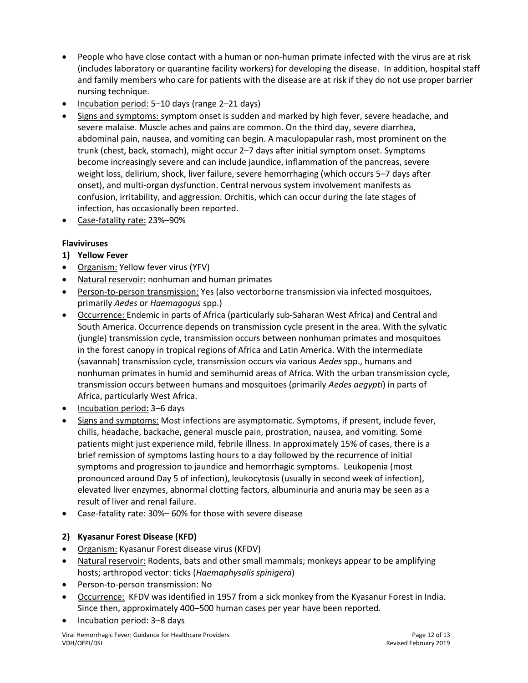- People who have close contact with a human or non-human primate infected with the virus are at risk (includes laboratory or quarantine facility workers) for developing the disease. In addition, hospital staff and family members who care for patients with the disease are at risk if they do not use proper barrier nursing technique.
- Incubation period: 5–10 days (range 2–21 days)
- Signs and symptoms: symptom onset is sudden and marked by high fever, severe headache, and severe malaise. Muscle aches and pains are common. On the third day, severe diarrhea, abdominal pain, nausea, and vomiting can begin. A maculopapular rash, most prominent on the trunk (chest, back, stomach), might occur 2–7 days after initial symptom onset. Symptoms become increasingly severe and can include jaundice, inflammation of the pancreas, severe weight loss, delirium, shock, liver failure, severe hemorrhaging (which occurs 5–7 days after onset), and multi-organ dysfunction. Central nervous system involvement manifests as confusion, irritability, and aggression. Orchitis, which can occur during the late stages of infection, has occasionally been reported.
- Case-fatality rate: 23%–90%

### **Flaviviruses**

- **1) Yellow Fever**
- Organism: Yellow fever virus (YFV)
- Natural reservoir: nonhuman and human primates
- Person-to-person transmission: Yes (also vectorborne transmission via infected mosquitoes, primarily *Aedes* or *Haemagogus* spp.)
- Occurrence: Endemic in parts of Africa (particularly sub-Saharan West Africa) and Central and South America. Occurrence depends on transmission cycle present in the area. With the sylvatic (jungle) transmission cycle, transmission occurs between nonhuman primates and mosquitoes in the forest canopy in tropical regions of Africa and Latin America. With the intermediate (savannah) transmission cycle, transmission occurs via various *Aedes* spp., humans and nonhuman primates in humid and semihumid areas of Africa. With the urban transmission cycle, transmission occurs between humans and mosquitoes (primarily *Aedes aegypti*) in parts of Africa, particularly West Africa.
- Incubation period: 3-6 days
- Signs and symptoms: Most infections are asymptomatic. Symptoms, if present, include fever, chills, headache, backache, general muscle pain, prostration, nausea, and vomiting. Some patients might just experience mild, febrile illness. In approximately 15% of cases, there is a brief remission of symptoms lasting hours to a day followed by the recurrence of initial symptoms and progression to jaundice and hemorrhagic symptoms. Leukopenia (most pronounced around Day 5 of infection), leukocytosis (usually in second week of infection), elevated liver enzymes, abnormal clotting factors, albuminuria and anuria may be seen as a result of liver and renal failure.
- Case-fatality rate: 30%– 60% for those with severe disease

### **2) Kyasanur Forest Disease (KFD)**

- Organism: Kyasanur Forest disease virus (KFDV)
- Natural reservoir: Rodents, bats and other small mammals; monkeys appear to be amplifying hosts; arthropod vector: ticks (*Haemaphysalis spinigera*)
- Person-to-person transmission: No
- Occurrence: KFDV was identified in 1957 from a sick monkey from the Kyasanur Forest in India. Since then, approximately 400–500 human cases per year have been reported.
- Incubation period: 3–8 days